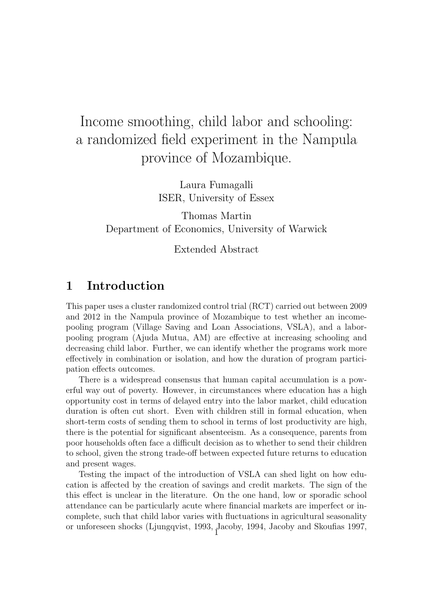# Income smoothing, child labor and schooling: a randomized field experiment in the Nampula province of Mozambique.

Laura Fumagalli ISER, University of Essex

Thomas Martin Department of Economics, University of Warwick

Extended Abstract

## 1 Introduction

This paper uses a cluster randomized control trial (RCT) carried out between 2009 and 2012 in the Nampula province of Mozambique to test whether an incomepooling program (Village Saving and Loan Associations, VSLA), and a laborpooling program (Ajuda Mutua, AM) are effective at increasing schooling and decreasing child labor. Further, we can identify whether the programs work more effectively in combination or isolation, and how the duration of program participation effects outcomes.

There is a widespread consensus that human capital accumulation is a powerful way out of poverty. However, in circumstances where education has a high opportunity cost in terms of delayed entry into the labor market, child education duration is often cut short. Even with children still in formal education, when short-term costs of sending them to school in terms of lost productivity are high, there is the potential for significant absenteeism. As a consequence, parents from poor households often face a difficult decision as to whether to send their children to school, given the strong trade-off between expected future returns to education and present wages.

Testing the impact of the introduction of VSLA can shed light on how education is affected by the creation of savings and credit markets. The sign of the this effect is unclear in the literature. On the one hand, low or sporadic school attendance can be particularly acute where financial markets are imperfect or incomplete, such that child labor varies with fluctuations in agricultural seasonality or unforeseen shocks (Ljungqvist, 1993, Jacoby, 1994, Jacoby and Skoufias 1997, <sup>1</sup>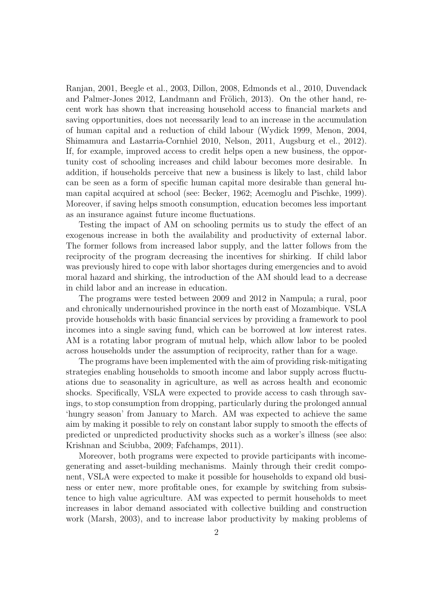Ranjan, 2001, Beegle et al., 2003, Dillon, 2008, Edmonds et al., 2010, Duvendack and Palmer-Jones 2012, Landmann and Frölich, 2013). On the other hand, recent work has shown that increasing household access to financial markets and saving opportunities, does not necessarily lead to an increase in the accumulation of human capital and a reduction of child labour (Wydick 1999, Menon, 2004, Shimamura and Lastarria-Cornhiel 2010, Nelson, 2011, Augsburg et el., 2012). If, for example, improved access to credit helps open a new business, the opportunity cost of schooling increases and child labour becomes more desirable. In addition, if households perceive that new a business is likely to last, child labor can be seen as a form of specific human capital more desirable than general human capital acquired at school (see: Becker, 1962; Acemoglu and Pischke, 1999). Moreover, if saving helps smooth consumption, education becomes less important as an insurance against future income fluctuations.

Testing the impact of AM on schooling permits us to study the effect of an exogenous increase in both the availability and productivity of external labor. The former follows from increased labor supply, and the latter follows from the reciprocity of the program decreasing the incentives for shirking. If child labor was previously hired to cope with labor shortages during emergencies and to avoid moral hazard and shirking, the introduction of the AM should lead to a decrease in child labor and an increase in education.

The programs were tested between 2009 and 2012 in Nampula; a rural, poor and chronically undernourished province in the north east of Mozambique. VSLA provide households with basic financial services by providing a framework to pool incomes into a single saving fund, which can be borrowed at low interest rates. AM is a rotating labor program of mutual help, which allow labor to be pooled across households under the assumption of reciprocity, rather than for a wage.

The programs have been implemented with the aim of providing risk-mitigating strategies enabling households to smooth income and labor supply across fluctuations due to seasonality in agriculture, as well as across health and economic shocks. Specifically, VSLA were expected to provide access to cash through savings, to stop consumption from dropping, particularly during the prolonged annual 'hungry season' from January to March. AM was expected to achieve the same aim by making it possible to rely on constant labor supply to smooth the effects of predicted or unpredicted productivity shocks such as a worker's illness (see also: Krishnan and Sciubba, 2009; Fafchamps, 2011).

Moreover, both programs were expected to provide participants with incomegenerating and asset-building mechanisms. Mainly through their credit component, VSLA were expected to make it possible for households to expand old business or enter new, more profitable ones, for example by switching from subsistence to high value agriculture. AM was expected to permit households to meet increases in labor demand associated with collective building and construction work (Marsh, 2003), and to increase labor productivity by making problems of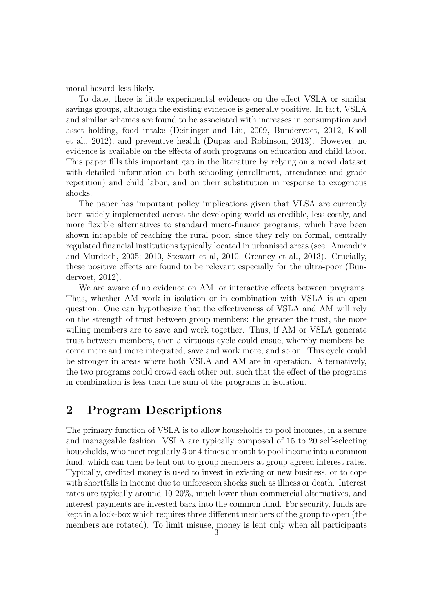moral hazard less likely.

To date, there is little experimental evidence on the effect VSLA or similar savings groups, although the existing evidence is generally positive. In fact, VSLA and similar schemes are found to be associated with increases in consumption and asset holding, food intake (Deininger and Liu, 2009, Bundervoet, 2012, Ksoll et al., 2012), and preventive health (Dupas and Robinson, 2013). However, no evidence is available on the effects of such programs on education and child labor. This paper fills this important gap in the literature by relying on a novel dataset with detailed information on both schooling (enrollment, attendance and grade repetition) and child labor, and on their substitution in response to exogenous shocks.

The paper has important policy implications given that VLSA are currently been widely implemented across the developing world as credible, less costly, and more flexible alternatives to standard micro-finance programs, which have been shown incapable of reaching the rural poor, since they rely on formal, centrally regulated financial institutions typically located in urbanised areas (see: Amendriz and Murdoch, 2005; 2010, Stewart et al, 2010, Greaney et al., 2013). Crucially, these positive effects are found to be relevant especially for the ultra-poor (Bundervoet, 2012).

We are aware of no evidence on AM, or interactive effects between programs. Thus, whether AM work in isolation or in combination with VSLA is an open question. One can hypothesize that the effectiveness of VSLA and AM will rely on the strength of trust between group members: the greater the trust, the more willing members are to save and work together. Thus, if AM or VSLA generate trust between members, then a virtuous cycle could ensue, whereby members become more and more integrated, save and work more, and so on. This cycle could be stronger in areas where both VSLA and AM are in operation. Alternatively, the two programs could crowd each other out, such that the effect of the programs in combination is less than the sum of the programs in isolation.

## 2 Program Descriptions

The primary function of VSLA is to allow households to pool incomes, in a secure and manageable fashion. VSLA are typically composed of 15 to 20 self-selecting households, who meet regularly 3 or 4 times a month to pool income into a common fund, which can then be lent out to group members at group agreed interest rates. Typically, credited money is used to invest in existing or new business, or to cope with shortfalls in income due to unforeseen shocks such as illness or death. Interest rates are typically around 10-20%, much lower than commercial alternatives, and interest payments are invested back into the common fund. For security, funds are kept in a lock-box which requires three different members of the group to open (the members are rotated). To limit misuse, money is lent only when all participants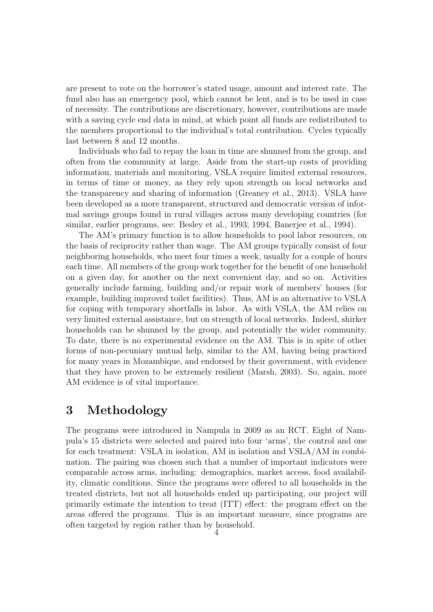are present to vote on the borrower's stated usage, amount and interest rate. The fund also has an emergency pool, which cannot be lent, and is to be used in case of necessity. The contributions are discretionary, however, contributions are made with a saving cycle end data in mind, at which point all funds are redistributed to the members proportional to the individual's total contribution. Cycles typically last between 8 and 12 months.

Individuals who fail to repay the loan in time are shunned from the group, and often from the community at large. Aside from the start-up costs of providing information, materials and monitoring, VSLA require limited external resources, in terms of time or money, as they rely upon strength on local networks and the transparency and sharing of information (Greaney et al., 2013). VSLA have been developed as a more transparent, structured and democratic version of informal savings groups found in rural villages across many developing countries (for similar, earlier programs, see: Besley et al., 1993; 1994, Banerjee et al., 1994).

The AM's primary function is to allow households to pool labor resources, on the basis of reciprocity rather than wage. The AM groups typically consist of four neighboring households, who meet four times a week, usually for a couple of hours each time. All members of the group work together for the benefit of one household on a given day, for another on the next convenient day, and so on. Activities generally include farming, building and/or repair work of members' houses (for example, building improved toilet facilities). Thus, AM is an alternative to VSLA for coping with temporary shortfalls in labor. As with VSLA, the AM relies on very limited external assistance, but on strength of local networks. Indeed, shirker households can be shunned by the group, and potentially the wider community. To date, there is no experimental evidence on the AM. This is in spite of other forms of non-pecuniary mutual help, similar to the AM, having being practiced for many years in Mozambique, and endorsed by their government, with evidence that they have proven to be extremely resilient (Marsh, 2003). So, again, more AM evidence is of vital importance.

### 3 Methodology

The programs were introduced in Nampula in 2009 as an RCT. Eight of Nampula's 15 districts were selected and paired into four 'arms', the control and one for each treatment: VSLA in isolation, AM in isolation and VSLA/AM in combination. The pairing was chosen such that a number of important indicators were comparable across arms, including: demographics, market access, food availability, climatic conditions. Since the programs were offered to all households in the treated districts, but not all households ended up participating, our project will primarily estimate the intention to treat (ITT) effect: the program effect on the areas offered the programs. This is an important measure, since programs are often targeted by region rather than by household.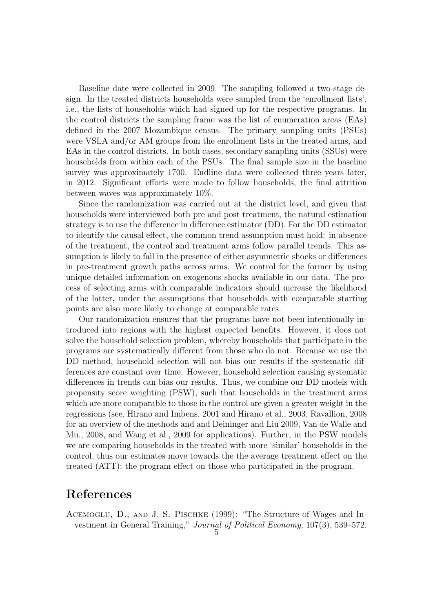Baseline date were collected in 2009. The sampling followed a two-stage design. In the treated districts households were sampled from the 'enrollment lists', i.e., the lists of households which had signed up for the respective programs. In the control districts the sampling frame was the list of enumeration areas (EAs) defined in the 2007 Mozambique census. The primary sampling units (PSUs) were VSLA and/or AM groups from the enrollment lists in the treated arms, and EAs in the control districts. In both cases, secondary sampling units (SSUs) were households from within each of the PSUs. The final sample size in the baseline survey was approximately 1700. Endline data were collected three years later, in 2012. Significant efforts were made to follow households, the final attrition between waves was approximately 10%.

Since the randomization was carried out at the district level, and given that households were interviewed both pre and post treatment, the natural estimation strategy is to use the difference in difference estimator (DD). For the DD estimator to identify the causal effect, the common trend assumption must hold: in absence of the treatment, the control and treatment arms follow parallel trends. This assumption is likely to fail in the presence of either asymmetric shocks or differences in pre-treatment growth paths across arms. We control for the former by using unique detailed information on exogenous shocks available in our data. The process of selecting arms with comparable indicators should increase the likelihood of the latter, under the assumptions that households with comparable starting points are also more likely to change at comparable rates.

Our randomization ensures that the programs have not been intentionally introduced into regions with the highest expected benefits. However, it does not solve the household selection problem, whereby households that participate in the programs are systematically different from those who do not. Because we use the DD method, household selection will not bias our results if the systematic differences are constant over time. However, household selection causing systematic differences in trends can bias our results. Thus, we combine our DD models with propensity score weighting (PSW), such that households in the treatment arms which are more comparable to those in the control are given a greater weight in the regressions (see, Hirano and Imbens, 2001 and Hirano et al., 2003, Ravallion, 2008 for an overview of the methods and and Deininger and Liu 2009, Van de Walle and Mu., 2008, and Wang et al., 2009 for applications). Further, in the PSW models we are comparing households in the treated with more 'similar' households in the control, thus our estimates move towards the the average treatment effect on the treated (ATT): the program effect on those who participated in the program.

### References

ACEMOGLU, D., AND J.-S. PISCHKE (1999): "The Structure of Wages and Investment in General Training," Journal of Political Economy, 107(3), 539–572.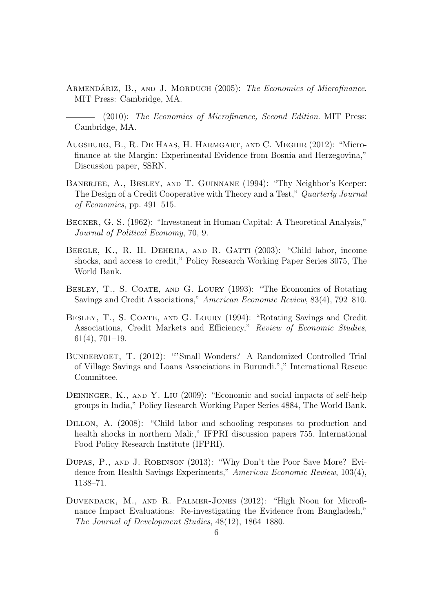ARMENDARIZ, B., AND J. MORDUCH (2005): The Economics of Microfinance. MIT Press: Cambridge, MA.

(2010): The Economics of Microfinance, Second Edition. MIT Press: Cambridge, MA.

- Augsburg, B., R. De Haas, H. Harmgart, and C. Meghir (2012): "Microfinance at the Margin: Experimental Evidence from Bosnia and Herzegovina," Discussion paper, SSRN.
- BANERJEE, A., BESLEY, AND T. GUINNANE (1994): "Thy Neighbor's Keeper: The Design of a Credit Cooperative with Theory and a Test," Quarterly Journal of Economics, pp. 491–515.
- Becker, G. S. (1962): "Investment in Human Capital: A Theoretical Analysis," Journal of Political Economy, 70, 9.
- BEEGLE, K., R. H. DEHEJIA, AND R. GATTI (2003): "Child labor, income shocks, and access to credit," Policy Research Working Paper Series 3075, The World Bank.
- BESLEY, T., S. COATE, AND G. LOURY (1993): "The Economics of Rotating Savings and Credit Associations," American Economic Review, 83(4), 792–810.
- BESLEY, T., S. COATE, AND G. LOURY (1994): "Rotating Savings and Credit Associations, Credit Markets and Efficiency," Review of Economic Studies, 61(4), 701–19.
- BUNDERVOET, T. (2012): ""Small Wonders? A Randomized Controlled Trial of Village Savings and Loans Associations in Burundi."," International Rescue Committee.
- DEININGER, K., AND Y. LIU (2009): "Economic and social impacts of self-help groups in India," Policy Research Working Paper Series 4884, The World Bank.
- DILLON, A. (2008): "Child labor and schooling responses to production and health shocks in northern Mali:," IFPRI discussion papers 755, International Food Policy Research Institute (IFPRI).
- Dupas, P., and J. Robinson (2013): "Why Don't the Poor Save More? Evidence from Health Savings Experiments," American Economic Review, 103(4), 1138–71.
- Duvendack, M., and R. Palmer-Jones (2012): "High Noon for Microfinance Impact Evaluations: Re-investigating the Evidence from Bangladesh," The Journal of Development Studies, 48(12), 1864–1880.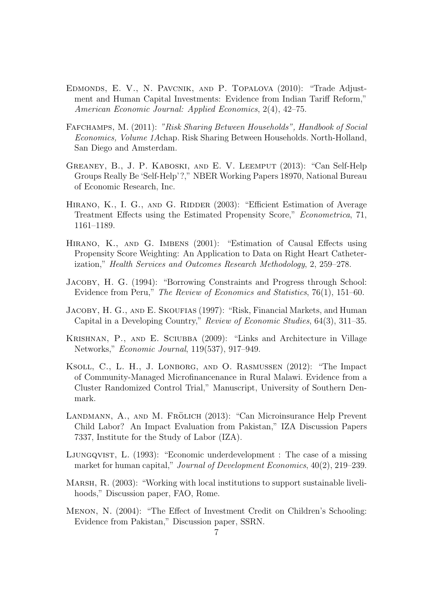- Edmonds, E. V., N. Pavcnik, and P. Topalova (2010): "Trade Adjustment and Human Capital Investments: Evidence from Indian Tariff Reform," American Economic Journal: Applied Economics, 2(4), 42–75.
- Fafchamps, M. (2011): "Risk Sharing Between Households", Handbook of Social Economics, Volume 1Achap. Risk Sharing Between Households. North-Holland, San Diego and Amsterdam.
- Greaney, B., J. P. Kaboski, and E. V. Leemput (2013): "Can Self-Help Groups Really Be 'Self-Help'?," NBER Working Papers 18970, National Bureau of Economic Research, Inc.
- HIRANO, K., I. G., AND G. RIDDER (2003): "Efficient Estimation of Average Treatment Effects using the Estimated Propensity Score," Econometrica, 71, 1161–1189.
- Hirano, K., and G. Imbens (2001): "Estimation of Causal Effects using Propensity Score Weighting: An Application to Data on Right Heart Catheterization," Health Services and Outcomes Research Methodology, 2, 259–278.
- Jacoby, H. G. (1994): "Borrowing Constraints and Progress through School: Evidence from Peru," The Review of Economics and Statistics, 76(1), 151–60.
- JACOBY, H. G., AND E. SKOUFIAS (1997): "Risk, Financial Markets, and Human Capital in a Developing Country," Review of Economic Studies, 64(3), 311–35.
- Krishnan, P., and E. Sciubba (2009): "Links and Architecture in Village Networks," Economic Journal, 119(537), 917–949.
- Ksoll, C., L. H., J. Lonborg, and O. Rasmussen (2012): "The Impact of Community-Managed Microfinancenance in Rural Malawi. Evidence from a Cluster Randomized Control Trial," Manuscript, University of Southern Denmark.
- LANDMANN, A., AND M. FRÖLICH (2013): "Can Microinsurance Help Prevent Child Labor? An Impact Evaluation from Pakistan," IZA Discussion Papers 7337, Institute for the Study of Labor (IZA).
- Ljungqvist, L. (1993): "Economic underdevelopment : The case of a missing market for human capital," *Journal of Development Economics*,  $40(2)$ , 219–239.
- Marsh, R. (2003): "Working with local institutions to support sustainable livelihoods," Discussion paper, FAO, Rome.
- Menon, N. (2004): "The Effect of Investment Credit on Children's Schooling: Evidence from Pakistan," Discussion paper, SSRN.